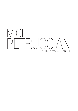# A FILM BY MICHAEL RADFORD MICHEL PETRUCCIANI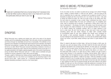People don't understand that to be a human being it isn't necessary to be six feet tall. What counts is what you have in your head and in your body. And particularly what you have in your soul.

, Michel Petrucciani

## **SYNOPSIS**

Michel Petrucciani was a startling and original man, both by the nature of his physical condition and of his outstanding musical talent. This is the story of how he achieved fame and fortune through his indomitable will and force of personality. If the definition of true greatness is the realization of something that seems beyond human aspiration, then Michel Petrucciani had greatness in spades. Born with glass bone disease, and standing three feet tall as an adult, Michel Petrucciani overcame extraordinary obstacles to become an internationally acclaimed jazz artist. Giving his first professional concert at the age of 13, he rapidly ascended to the heights, playing alongside some of the world's finest jazzmen. During his lifetime Michel Petrucciani sold over 1.5 million albums worldwide and gave hundreds of concerts, appearing in major cities across the globe.

Through a wealth of interviews and riveting archival material MICHEL PETRUCCIANI tells the remarkable story of a man driven by an insatiable and all-consuming hunger for life and all it has to offer - travel, women, art - a supremely talented force of nature who defeated devastating handicaps to become a true musical giant.

### WHO IS MICHEL PETRUCCIANI? By Alexandre Petrucciani

To me, he is Dad, my hero, my model, my pride and my courage, but to others? Perhaps hope, a feeling, a shared emotion, or what we call "genius". I was too young at the time to understand who he really was. I wondered why he played by himself in front of thousands of people and why we all had to sit in our chairs for two hours. I was used to seeing him behind his piano. All I had to do was to play on the sitting room floor, the room where he composed, to hear a recital. Today I understand how lucky I was to have had such a talented father. His music isn't confined to jazz. It's completely open music, open to everything and to everyone. To appreciate a certain style of music you have to understand it - the phrases, the rhythm, the melody. In jazz this principle is even more vital given the coded architecture of call and response between the musicians. In my father's playing this complexity vanishes. We're no longer listening to jazz but to a total music. We don't feel the years of sheer hard work it took to get there, everything seems fluid and simple. However my father didn't consider himself an accomplished player. He was never satisfied even though some considered he had reached a level practically impossible to achieve, like a distant lighthouse. He never believed he had reached the harbour. To me this was his greatest talent: always trying to go further, to get better, always working to get closer to a goal situated in the infinite.

When I'm asked to talk about my father today, I still see him through a child's eyes. He was joyful, very calm and always smiling. Life hadn't dealt him the best cards with which to blossom. But thanks to his courage and his optimism, he never gave up, he managed to take from life the good humour and lilting joy we hear in most of his compositions. Music is a language, an infinity of words and nuances that allows us to share, to let the world know what is alive in our spirit and our heart. It allows us to get to know a person better because it is the expression of feelings, internal desires. When I listen to my father today I feel his happiness but also a past both melancholy and filled with hope, a battle between joy and sadness, a battle we all share. I think the message my father wanted to transmit is one of courage and hope. Everything is possible if you give yourself the means, and human beings have no limit. No matter if we are born tall, short, handsome or ugly, anything we want can be acquired through will and work; Michel is the perfect example. If it was up to me, this is the lesson I would like audiences to remember him by, more so even than the beauty and the intensity of his music. But for anybody else than me, who was Michel Petrucciani?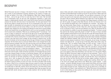### **BIOGRAPHY**

### Michel Petrucciani

Michel Petrucciani was born in Orange, in the South of France, on December 28th 1962 into a family of semi-professional musicians obsessed by the classics of modern jazz. He grew up bathed in the music of Wes Montgomery, Miles Davis, Django Reinhardt, Art Tatum... and by the age of three he could sing most of their tunes. Fate had dealt him an extraordinary hand. He was born with osteogenesis imperfecta, or glass bone disease, a crippling genetic disorder, which meant that his bones fractured at the slightest pressure (he was born with every bone in his body broken). He never grew beyond 3 feet tall and was subject to terrible pain all his life. As if to compensate for this curse, he was given two gifts: an extraordinary and rare genius for music and a charismatic personality that charmed everyone and had women falling in love with him all his life. Petrucciani's disability never stopped him from anything and although he knew that he would probably not live much beyond forty, he was determined to cram in as much as possible. He had no time for anyone who complained. "What are you complaining about?" he would say. "Look at me! I'm okay! I'm having fun!" And he did. At the age of four he saw Duke Ellington on TV and immediately demanded a piano. His parents bought him a toy which he proceeded to demolish with a hammer, leaving them in no doubt that he wanted a real one. By the age of seven it was clear that he was a prodigy. He was schooled in classical music, but like the rest of his family, his first love was jazz and by the age of thirteen he was a formidable improviser. His first break came at a local jazz festival where it was arranged that he play with the American trumpeter Clark Terry, who took one look at him and refused to believe that this strange little creature could play the blues. Then Michel played a couple of licks for him and Terry was thunderstruck. As someone said later: "At thirteen he sounded like a world-weary black man lost in a piano bar somewhere in Mexico…" Three years later, he met the drummer Aldo Romano and they immediately became very close. At this time Petrucciani could not walk, so Aldo carried him everywhere. He eventually took him to Paris to see Jean-Jacques Pussiau, the owner of Owl Records. Between 1981 and 1985 Michel Petrucciani recorded five albums, including the classic "Toot Sweet" with saxophonist Lee Konitz. Up until then he had been performing in local jazz festivals around the south of France, but in 1981 he played at the Theatre de la Ville at the Paris Jazz Festival and instantly caused a sensation. A new star was born. But France was not enough for him. He dreamt of going to America. As soon as he was 18 he flew to the West Coast and Big Sur where a friend of his, an American hippie drummer named Tox Drohar, was working on the property of Charles Lloyd. He persuaded another friend to carry him (Petrucciani did not actually learn to walk with crutches until he was twenty-five, and loved being carried about, especially by women). Charles Lloyd, the legendary West Coast sax player who had discovered Keith Jarrett, had given up jazz to study mysticism. But he had been reading

about a Hindu saint with a broken body who had crossed the ocean to perform miracles, and when he heard Michel play he picked up his horn for the first time in fifteen years and the two of them started on the road together. This was Michel's introduction to the real world of jazz and he and Lloyd were soon touring the world to rapturous response. After five years in Big Sur however, Michel hankered to go to New York. It was the eighties, and New York was 'Jazz Heaven'. There he could play at the Village Vanguard, at Bradley's, and jam with the greats. He signed to Blue Note Records, the first non-American ever to do so, and recorded and played with a host of legendary jazz musicians - Roy Haynes, Jim Hall, John Abercrombie, Wayne Shorter, Joe Henderson, Joe Lovano and Dizzy Gillespie. Finally tiring of the excesses of his life in New York, which was doing his health no good at all, he returned to France, found love and fathered a son. When he discovered that his son had inherited his condition he was both devastated and fatalistic. "To refuse to accept this would be like refusing myself. Why should I do that?" His return to France coincided with the greatest musical period of his life. Not only did he sign with Dreyfus Records, who were determined to make him an international star, but his music reached stratospheric new heights. He was soon not only recording discs that sold in their hundreds of thousands (notably with Stéphane Grappelli, Eddy Louiss and his trio with Steve Gadd and Anthony Jackson) but also playing to audiences of tens of thousands, all over Europe. His disease, however was taking its toll - as was his love of fast living. When told to take it easy, his response was: "Hey, I've outlived Charlie Parker, and that's not bad." It wasn't to be by much. Exhausted by his punishing schedule (220 concerts in 1998) and by his failing health, he caught pneumonia in winter 1998 in New York, and died on January 6th the following year. He was 36 years old. His funeral in Paris was attended by tens of thousands of mourners. He is buried in Père Lachaise Cemetery, next to the grave of Frédéric Chopin: such is the respect in which this extraordinary man was held. It is in the words of Wayne Shorter that Michel Petrucciani's legacy and genius are best expressed: "There's a lot of people walking around, full-grown and so-called normal - they have everything that they were born with at the right length, arm length, and stuff like that. They're symmetrical in every way but they live their lives like they are armless, legless, brainless, and they live their lives with blame. I never heard Michel complain about anything. Michel didn't look in the mirror and complain about what he saw. Michel was a great musician - a great musician - and great, ultimately, because he was a great human being, and he was a great human being because he had the ability to feel and give to others of that feeling, and he gave to others through his music. Anything else you can say about him is a formality. It's a technicality and it doesn't mean anything to me." Michel Petrucciani's life demonstrates to all of us that nothing can stop a person from fulfilling his life. And he did it with humour and fun and great, great music.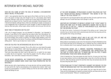# interview with Michael Radford

### How did you come up with the idea of making a documentary about Michel Petrucciani?

I didn't. I was approached about four years ago by Bruce Marks and then by Les Films d'ici in the person of Serge Lalou who thought of me for a documentary about Michel Petrucciani. Although I never met him in person and I'd never heard of him before, when I started to do my research into him, I found him quite remarkable. Not just because he was 3 feet tall and talented, although that is I think very interesting for people, but because in a very exaggerated way he represents the human struggle: to make the absolute best of what you have been given, without regret, without remorse. And to live your life to the full.

### WHAT KIND OF RESEARCH DID YOU DO?

I did a lot of research because I am not interested in information. I am interested in humanity. It was difficult to find material that was natural rather than informational. So I did an enormous amount of research. I asked everybody who was in the film if they had any archive footage, home movies or anything. The footage, largely speaking, came from them. I also researched on the internet. The process continued all through the shooting and editing period – that's to say for about six or seven months.

### HOW DID YOU PICK THE INTERVIEWEES WE SEE IN THE FILM?

As I've said, I'm interested in humanity. This is a film which is as much about the people interviewed as it is about Michel. I didn't have the opportunity to film him while he was alive, otherwise it would have been a completely different film.

There were many people who didn't want to talk about him, or couldn't for one reason or another. But it's not important. I have thirty-five people in the film willing to express themselves. I don't name them, because in the end it's irrelevant.

#### YOU'RE NEVER JUDGMENTAL, BUT SYMPATHETIC WITHOUT CONCEALING Petrucciani's darker sides. What was your perspective on the MATFRIAI?

Michel was born with a huge handicap, but he was also born with two wonderful talents: for music and for life. I had no real perspective on the material when I started. I didn't want to have any preconceptions. In a person's failings you find his real human qualities. And Michel had failings for sure.

### At the very beginning, Petrucciani's closest relatives say that they "never noticed Michel's handicap." This seems to set the tone of the film, doesn't it?

I never knew him, but everyone said he cast a spell over them. He cast a spell over me too, although I am sure it would have been much stronger in real life.

#### Another key statement of Michel's seems to be "I don't want to waste any time" as if he were constantly aware that he had to live his life to the full – more so than anybody else. How much did this inform the film?

It's right at the centre. It accounts for the speed of the editing as well. I believe that everyone has an internal clock which subconsciously tells them how long they will live, and regulates their energy accordingly.

### WHAT IS MOST STRIKING ABOUT HIM IS HIS LUST FOR LIFE AND HIS infectious enthusiasm. Is this what guided you?

What guided me was keeping an open mind. If he had lived by himself in Montelimar all his life he would have been just as interesting, but in a different way. But it certainly took the film in a direction which is very inspiring for people when they look at themselves.

#### Petrucciani seems like a vibrant, radiating personality and there's a strong sense of camaraderie and appreciation on the part of people who got to know him. Did you feel it when interviewing those who were around him?

I think it's basically true. There were people who didn't like him, of course, but I don't think he had many enemies. He fell out with people badly (I show this in the film) but they still loved him. Often they felt they owned him and then when they met someone else who felt the same thing they didn't like it.

### Petrucciani had to fight constantly against his disease: do you think his message was that you can sometimes overcome fate?

Yes. Although people do not have the same talents, they can make life work for them. Those who are handicapped are inspired by someone like this, and those who are not are forced to ask themselves: "What am I complaining about?"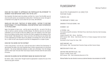### How did you want to approach his particular relationship to women? How important were they in his life?

Very important. His dream was to be ordinary: and that, for a 'cacou' from the Midi, was not only to be with women, but consistently to betray them. I find that very human. But again it is important not to judge him, but to show him as he was, with affection.

#### When his son says: "Instead of being weird, I intend to become exceptional!" it's heartrending. How important was fatherhood to Petrucciani?

Again, the decision to have a son - and the way he was with him - are part of his life as a star as well as a person carrying a terrible disease. His dilemma was one we could all understand: you do not wish to deny the validity of your own existence, but at the same time you are taking a terrible chance. And then all of that is negated by the existence of the person himself. I like Alexandre a lot. I have a son who is 20 and they are very similar. Alex is more oppressed by his father than by his disease. He worships him, but he never saw him, or when he did it was all great fun and then he disappeared for a couple of years.

### How did you work on the editing?

It was a long process. I can only say I could not have done it without Yves Deschamps. In documentary the editor is far more important than in fiction, because there is no structural blueprint - the normal relationship between an editor and a filmmaker. From the footage and from what I said, Yves saw what I was trying to express. We also share the same sense of humour.

### HOW DID YOU WORK ON THE DIFFERENT MUSIC WE HEAR IN THE FILM?

By instinct, really. I chose what I thought would be appropriate to express the soul of the movie at any given moment.

# FILMOGRAPHY

### SELECTED FILMOGRAPHY AS DIRECTOR FEATLIRE FILMS

FLAWLESS, 2006

THE MERCHANT OF VENICE, 2004

DANCING AT THE BLUE IGUANA, 1999

B MONKEY, 1997

#### IL POSTINO, 1994

Five Academy Award® nominations 1995 (Best Picture, Best Director, Best Actor, Best Screenplay, Best Music) Academy Award® 1995 - Winner - Best Music BAFTA Awards 1995 - Winner - Best Director, Best Film in a Foreign Language, David Lean Award for Direction Nominated for Best Foreign Film César, 1996

WHITE MISCHIEF, 1987 BAFTA Awards, 1988 - Nominated Best Production Design and Best Costume Design

NINETEEN EIGHTY-FOUR, 1984

ANOTHER TIME ANOTHER PLACE, 1983 Directors' Fortnight, Cannes 1983 BAFTA Awards, 1983 - Most Outstanding Newcomer to Film

Michael Radford has also directed numerous acclaimed television documentaries for the BBC.

### Michael Radford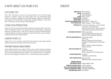# A NOTE ABOUT LES FILMS D'ICI

### LES FILMS D'ICI

Since 1984, Paris-based Les Films d'Ici has proved itself one of the world's leading producers of powerful, creative and radical feature films and documentaries-based cinema. The company's redoubtable 700-strong filmography includes such widely-feted, multi-awarded and internationally successful titles as Nicolas Philibert's "To Be and to Have" ("Etre et Avoir") and Ari Folman's "Waltz With Bashir".

### Looks Film Production

Created in 2004 by Gunnar Dedio and Martina Haubrich and based in Berlin, Looks Film's recent co-productions include "La vie sauvage des animaux domestiques" by Dominique Garing and "Comrade Couture". Looks Film is currently co-producing "Michael Kohlhaas", Arnaud des Pallières's next feature: adapted from Heinrich Von Kleist's novel and "Holding", a political thriller directed by Michael Dreher.

### Liaison Films LLC

Liaison Films LLC was created to produce films that narrow the gap between typically intimate European films and large commercial American films.

### Partner Media Investment

Partner Media Investment was created in 2006 by Lucia Lo Russo Hussong and Andrea Stucovitz. Over the past two years, PMI has produced three feature-length documentaries and is currently developing two feature fictions: one by Egidio Eronico, in co-production with Focus Film (Hungary) and "Marco & Polo", a comedy by Israeli author Ishai Ravid.

# **CREDITS**

| <b>SOUND EDITOR Lilio Rosato</b><br><b>SOUND MIXER</b> Roberto Moroni<br><b>PRODUCTION ADMINISTRATOR</b> Réjane Michel - Catherine Grel                                                                     | <b>DIRECTED BY</b> Michael Radford<br><b>EDITOR</b> Yves Deschamps<br><b>DP</b> Sophie Maintigneux<br><b>SOUND</b> Olivier Le Vacon<br><b>POST-PRODUCTION</b> Mathieu Cabanes - Franco Casellato     |
|-------------------------------------------------------------------------------------------------------------------------------------------------------------------------------------------------------------|------------------------------------------------------------------------------------------------------------------------------------------------------------------------------------------------------|
|                                                                                                                                                                                                             | <b>PRODUCED BY</b> Les Films d'Ici (Serge Lalou – Annick Colomès)<br>Liaison Films LLC (Bruce Marks)<br>Looks Films (Gunnar Dedio - Martina Haubrich)<br>Partner Media Investment (Andrea Stucovitz) |
| <b>IN COPRODUCTION WITH ARTE France Cinéma</b>                                                                                                                                                              | EDEN JOY MUSIC (Alexandre Petrucciani)<br>NOA NOA FILM GmbH (Roger Willemsen)                                                                                                                        |
| <b>WITH THE PARTICIPATION OF</b> Orange Cinéma Séries                                                                                                                                                       | <b>ARTE France</b><br>Ministry of Solidarity and Social Cohesion<br>Delegation for Information and Communication<br>(France)<br>MIBAC - Ministry of Cultural Heritage Italy<br>Department of Film    |
| <b>WITH THE SUPPORT OF Eurimages</b>                                                                                                                                                                        | Fonds d'Action Sacem<br>MEDIA, a programme of the European Union                                                                                                                                     |
| IN ASSOCIATION WITH Uni Etoile 8                                                                                                                                                                            | COFINOVA5 and SOFICAPITAL                                                                                                                                                                            |
| <b>WITH FUNDING FROM</b> Italian Tax Credit                                                                                                                                                                 | Medienboard Berlin-Brandenburg GmbH                                                                                                                                                                  |
| <b>GERMAN THEATER,</b>                                                                                                                                                                                      | <b>DVD AND VOD SALES</b> Polyband Medien GmbH                                                                                                                                                        |
| <b>GERMAN TELEVISION SALES LOOKS Distribution</b><br>DVD & VOD PUBLISHING FRANCE Editions Montparnasse<br><b>CINEMA DISTRIBUTION FRANCE HAPPINESS DISTRIBUTION</b><br><b>INTERNATIONAL SALES WILD BUNCH</b> |                                                                                                                                                                                                      |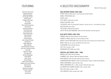# **FEATURING**

Alexandre Petrucciani Eugenia Morrison David Himmelstein Dr Georges Finidori Mme Clauzel Philippe Petrucciani Tox Drohar George Wein Pierre-Henri Ardonceau Alain Brunet Jacques Bonnardel Tony Petrucciani Lionel Belmondo Pascal Bertonneau Frank Cassenti Aldo Romano Pascal Anquetil Jean-Jacques Pussiau Dorothy Darr Roger Willemsen Barry Altschul Erlinda Montano-Hiscock John and Lisa Abercrombie Lee Konitz Mary Ann Topper Eliot Zigmund Bernard Benguigui Andy McKee Victor Jones Serge Glissant Marie Laure Roperch Hélène and Francis Dreyfus Bernard Ivain Ron McClure Geneviève Peyrègne François Zalacain Joe Lovano Judi Silvano

# A SELECTED DISCOGRAPHY

### Michel Petrucciani

### OWL RECORDS period (1980-1985)

FLASH (1980) with Mike Zwerin, Louis Petrucciani and Aldo Romano Michel Petrucciani (1981) Estate (1982) TOOT SWEET (1982) with Lee Konitz Oracle's Destiny (1982) 100 HEARTS (1983) (The George Wein Collection. Concord Jazz Inc.) 1st recording for US label NOTE'N NOTES (solo) (1984) COLD BLUES (1985) with Ron McClure LIVE AT THE VILLAGE VANGUARD (1984) with Palle Danielsson and Eliot Zigmund

#### blue note period (1986-1994)

PIANISM (1986) with Palle Danielsson and Eliot Zigmund POWER OF THREE (1986) with Jim Hall and Wayne Shorter MICHEL PLAYS PETRUCCIANI (1987) with Gary Peacock, Roy Haynes and John Abercrombie MUSIC (1989) with Joe Lovano, Andy McKee and Victor Jones PLAYGROUND (1991) with Aldo Romano LIVE (1994, recorded in 1991) PROMENADE WITH DUKE (solo) (1993)

#### DREYFUS JAZZ period (1994 - 1999)

MARVELLOUS (1994) with Dave Holland Flamingo (1995, released 1996) with Stéphane Grappelli BOTH WORLDS (1997) with Steve Gadd and Antony Jackson Conversation with Michel (2000) recorded between 1988 and 1989) with Bob Malachi PRESS CONFERENCE (1994) with Eddy Louiss PRESS CONFERENCE VOL. 2 (1995, recorded 1994) with Eddy Louiss Au théâtre des Champs-Elysées (1995, recorded 1994) SOLO LIVE (1998, recorded in 1997) Live Concerts (1999, recorded 1993-1994)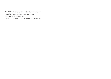TRIO IN TOKYO (1999, recorded 1997) with Steve Gadd and Antony Jackson CONVERSATION (2001, recorded 1992) with Tony Petrucciani DREYFUS NIGHT (2003, recorded 1994) Piano solo - The Complete Live in Germany (2007, recorded 1997)